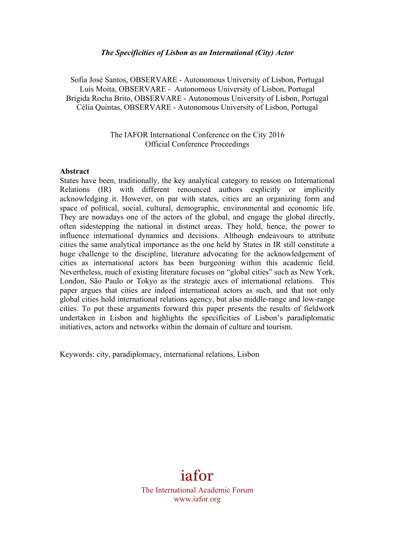### *The Specificities of Lisbon as an International (City) Actor*

Sofia José Santos, OBSERVARE - Autonomous University of Lisbon, Portugal Luís Moita, OBSERVARE - Autonomous University of Lisbon, Portugal Brígida Rocha Brito, OBSERVARE - Autonomous University of Lisbon, Portugal Célia Quintas, OBSERVARE - Autonomous University of Lisbon, Portugal

> The IAFOR International Conference on the City 2016 Official Conference Proceedings

#### **Abstract**

States have been, traditionally, the key analytical category to reason on International Relations (IR) with different renounced authors explicitly or implicitly acknowledging it. However, on par with states, cities are an organizing form and space of political, social, cultural, demographic, environmental and economic life. They are nowadays one of the actors of the global, and engage the global directly, often sidestepping the national in distinct areas. They hold, hence, the power to influence international dynamics and decisions. Although endeavours to attribute cities the same analytical importance as the one held by States in IR still constitute a huge challenge to the discipline, literature advocating for the acknowledgement of cities as international actors has been burgeoning within this academic field. Nevertheless, much of existing literature focuses on "global cities" such as New York, London, São Paulo or Tokyo as the strategic axes of international relations. This paper argues that cities are indeed international actors as such, and that not only global cities hold international relations agency, but also middle-range and low-range cities. To put these arguments forward this paper presents the results of fieldwork undertaken in Lisbon and highlights the specificities of Lisbon's paradiplomatic initiatives, actors and networks within the domain of culture and tourism.

Keywords: city, paradiplomacy, international relations, Lisbon

# iafor

The International Academic Forum www.iafor.org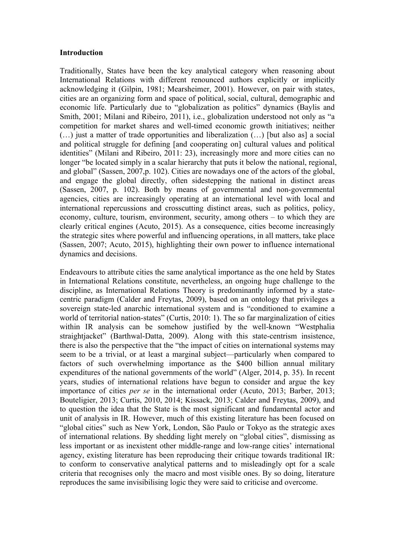#### **Introduction**

Traditionally, States have been the key analytical category when reasoning about International Relations with different renounced authors explicitly or implicitly acknowledging it (Gilpin, 1981; Mearsheimer, 2001). However, on pair with states, cities are an organizing form and space of political, social, cultural, demographic and economic life. Particularly due to "globalization as politics" dynamics (Baylis and Smith, 2001; Milani and Ribeiro, 2011), i.e., globalization understood not only as "a competition for market shares and well-timed economic growth initiatives; neither  $(...)$  just a matter of trade opportunities and liberalization  $(...)$  [but also as] a social and political struggle for defining [and cooperating on] cultural values and political identities" (Milani and Ribeiro, 2011: 23), increasingly more and more cities can no longer "be located simply in a scalar hierarchy that puts it below the national, regional, and global" (Sassen, 2007,p. 102). Cities are nowadays one of the actors of the global, and engage the global directly, often sidestepping the national in distinct areas (Sassen, 2007, p. 102). Both by means of governmental and non-governmental agencies, cities are increasingly operating at an international level with local and international repercussions and crosscutting distinct areas, such as politics, policy, economy, culture, tourism, environment, security, among others – to which they are clearly critical engines (Acuto, 2015). As a consequence, cities become increasingly the strategic sites where powerful and influencing operations, in all matters, take place (Sassen, 2007; Acuto, 2015), highlighting their own power to influence international dynamics and decisions.

Endeavours to attribute cities the same analytical importance as the one held by States in International Relations constitute, nevertheless, an ongoing huge challenge to the discipline, as International Relations Theory is predominantly informed by a statecentric paradigm (Calder and Freytas, 2009), based on an ontology that privileges a sovereign state-led anarchic international system and is "conditioned to examine a world of territorial nation-states" (Curtis, 2010: 1). The so far marginalization of cities within IR analysis can be somehow justified by the well-known "Westphalia straightjacket" (Barthwal-Datta, 2009). Along with this state-centrism insistence, there is also the perspective that the "the impact of cities on international systems may seem to be a trivial, or at least a marginal subject—particularly when compared to factors of such overwhelming importance as the \$400 billion annual military expenditures of the national governments of the world" (Alger, 2014, p. 35). In recent years, studies of international relations have begun to consider and argue the key importance of cities *per se* in the international order (Acuto, 2013; Barber, 2013; Bouteligier, 2013; Curtis, 2010, 2014; Kissack, 2013; Calder and Freytas, 2009), and to question the idea that the State is the most significant and fundamental actor and unit of analysis in IR. However, much of this existing literature has been focused on "global cities" such as New York, London, São Paulo or Tokyo as the strategic axes of international relations. By shedding light merely on "global cities", dismissing as less important or as inexistent other middle-range and low-range cities' international agency, existing literature has been reproducing their critique towards traditional IR: to conform to conservative analytical patterns and to misleadingly opt for a scale criteria that recognises only the macro and most visible ones. By so doing, literature reproduces the same invisibilising logic they were said to criticise and overcome.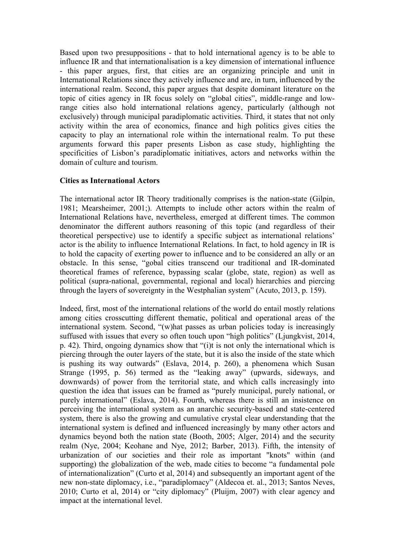Based upon two presuppositions - that to hold international agency is to be able to influence IR and that internationalisation is a key dimension of international influence - this paper argues, first, that cities are an organizing principle and unit in International Relations since they actively influence and are, in turn, influenced by the international realm. Second, this paper argues that despite dominant literature on the topic of cities agency in IR focus solely on "global cities", middle-range and lowrange cities also hold international relations agency, particularly (although not exclusively) through municipal paradiplomatic activities. Third, it states that not only activity within the area of economics, finance and high politics gives cities the capacity to play an international role within the international realm. To put these arguments forward this paper presents Lisbon as case study, highlighting the specificities of Lisbon's paradiplomatic initiatives, actors and networks within the domain of culture and tourism.

### **Cities as International Actors**

The international actor IR Theory traditionally comprises is the nation-state (Gilpin, 1981; Mearsheimer, 2001;). Attempts to include other actors within the realm of International Relations have, nevertheless, emerged at different times. The common denominator the different authors reasoning of this topic (and regardless of their theoretical perspective) use to identify a specific subject as international relations' actor is the ability to influence International Relations. In fact, to hold agency in IR is to hold the capacity of exerting power to influence and to be considered an ally or an obstacle. In this sense, "gobal cities transcend our traditional and IR-dominated theoretical frames of reference, bypassing scalar (globe, state, region) as well as political (supra-national, governmental, regional and local) hierarchies and piercing through the layers of sovereignty in the Westphalian system" (Acuto, 2013, p. 159).

Indeed, first, most of the international relations of the world do entail mostly relations among cities crosscutting different thematic, political and operational areas of the international system. Second, "(w)hat passes as urban policies today is increasingly suffused with issues that every so often touch upon "high politics" (Ljungkvist, 2014, p. 42). Third, ongoing dynamics show that "(i)t is not only the international which is piercing through the outer layers of the state, but it is also the inside of the state which is pushing its way outwards" (Eslava, 2014, p. 260), a phenomena which Susan Strange (1995, p. 56) termed as the "leaking away" (upwards, sideways, and downwards) of power from the territorial state, and which calls increasingly into question the idea that issues can be framed as "purely municipal, purely national, or purely international" (Eslava, 2014). Fourth, whereas there is still an insistence on perceiving the international system as an anarchic security-based and state-centered system, there is also the growing and cumulative crystal clear understanding that the international system is defined and influenced increasingly by many other actors and dynamics beyond both the nation state (Booth, 2005; Alger, 2014) and the security realm (Nye, 2004; Keohane and Nye, 2012; Barber, 2013). Fifth, the intensity of urbanization of our societies and their role as important "knots" within (and supporting) the globalization of the web, made cities to become "a fundamental pole of internationalization" (Curto et al, 2014) and subsequently an important agent of the new non-state diplomacy, i.e., "paradiplomacy" (Aldecoa et. al., 2013; Santos Neves, 2010; Curto et al, 2014) or "city diplomacy" (Pluijm, 2007) with clear agency and impact at the international level.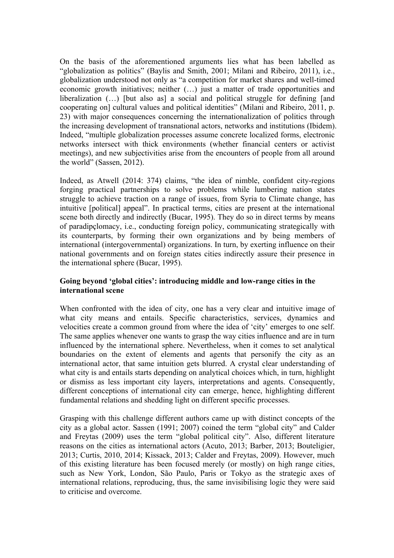On the basis of the aforementioned arguments lies what has been labelled as "globalization as politics" (Baylis and Smith, 2001; Milani and Ribeiro, 2011), i.e., globalization understood not only as "a competition for market shares and well-timed economic growth initiatives; neither (…) just a matter of trade opportunities and liberalization (...) [but also as] a social and political struggle for defining [and cooperating on] cultural values and political identities" (Milani and Ribeiro, 2011, p. 23) with major consequences concerning the internationalization of politics through the increasing development of transnational actors, networks and institutions (Ibidem). Indeed, "multiple globalization processes assume concrete localized forms, electronic networks intersect with thick environments (whether financial centers or activist meetings), and new subjectivities arise from the encounters of people from all around the world" (Sassen, 2012).

Indeed, as Atwell (2014: 374) claims, "the idea of nimble, confident city-regions forging practical partnerships to solve problems while lumbering nation states struggle to achieve traction on a range of issues, from Syria to Climate change, has intuitive [political] appeal". In practical terms, cities are present at the international scene both directly and indirectly (Bucar, 1995). They do so in direct terms by means of paradipçlomacy, i.e., conducting foreign policy, communicating strategically with its counterparts, by forming their own organizations and by being members of international (intergovernmental) organizations. In turn, by exerting influence on their national governments and on foreign states cities indirectly assure their presence in the international sphere (Bucar, 1995).

## **Going beyond 'global cities': introducing middle and low-range cities in the international scene**

When confronted with the idea of city, one has a very clear and intuitive image of what city means and entails. Specific characteristics, services, dynamics and velocities create a common ground from where the idea of 'city' emerges to one self. The same applies whenever one wants to grasp the way cities influence and are in turn influenced by the international sphere. Nevertheless, when it comes to set analytical boundaries on the extent of elements and agents that personify the city as an international actor, that same intuition gets blurred. A crystal clear understanding of what city is and entails starts depending on analytical choices which, in turn, highlight or dismiss as less important city layers, interpretations and agents. Consequently, different conceptions of international city can emerge, hence, highlighting different fundamental relations and shedding light on different specific processes.

Grasping with this challenge different authors came up with distinct concepts of the city as a global actor. Sassen (1991; 2007) coined the term "global city" and Calder and Freytas (2009) uses the term "global political city". Also, different literature reasons on the cities as international actors (Acuto, 2013; Barber, 2013; Bouteligier, 2013; Curtis, 2010, 2014; Kissack, 2013; Calder and Freytas, 2009). However, much of this existing literature has been focused merely (or mostly) on high range cities, such as New York, London, São Paulo, Paris or Tokyo as the strategic axes of international relations, reproducing, thus, the same invisibilising logic they were said to criticise and overcome.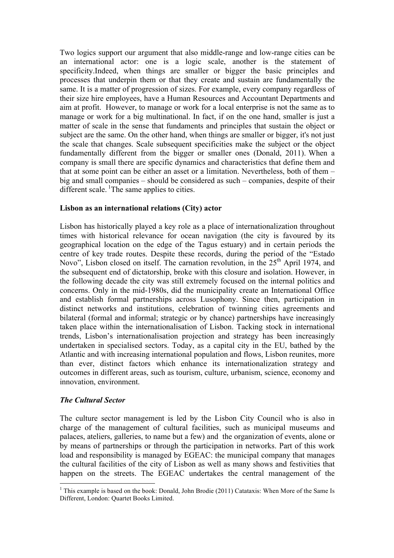Two logics support our argument that also middle-range and low-range cities can be an international actor: one is a logic scale, another is the statement of specificity.Indeed, when things are smaller or bigger the basic principles and processes that underpin them or that they create and sustain are fundamentally the same. It is a matter of progression of sizes. For example, every company regardless of their size hire employees, have a Human Resources and Accountant Departments and aim at profit. However, to manage or work for a local enterprise is not the same as to manage or work for a big multinational. In fact, if on the one hand, smaller is just a matter of scale in the sense that fundaments and principles that sustain the object or subject are the same. On the other hand, when things are smaller or bigger, it's not just the scale that changes. Scale subsequent specificities make the subject or the object fundamentally different from the bigger or smaller ones (Donald, 2011). When a company is small there are specific dynamics and characteristics that define them and that at some point can be either an asset or a limitation. Nevertheless, both of them – big and small companies – should be considered as such – companies, despite of their different scale. <sup>1</sup>The same applies to cities.

## **Lisbon as an international relations (City) actor**

Lisbon has historically played a key role as a place of internationalization throughout times with historical relevance for ocean navigation (the city is favoured by its geographical location on the edge of the Tagus estuary) and in certain periods the centre of key trade routes. Despite these records, during the period of the "Estado Novo", Lisbon closed on itself. The carnation revolution, in the 25<sup>th</sup> April 1974, and the subsequent end of dictatorship, broke with this closure and isolation. However, in the following decade the city was still extremely focused on the internal politics and concerns. Only in the mid-1980s, did the municipality create an International Office and establish formal partnerships across Lusophony. Since then, participation in distinct networks and institutions, celebration of twinning cities agreements and bilateral (formal and informal; strategic or by chance) partnerships have increasingly taken place within the internationalisation of Lisbon. Tacking stock in international trends, Lisbon's internationalisation projection and strategy has been increasingly undertaken in specialised sectors. Today, as a capital city in the EU, bathed by the Atlantic and with increasing international population and flows, Lisbon reunites, more than ever, distinct factors which enhance its internationalization strategy and outcomes in different areas, such as tourism, culture, urbanism, science, economy and innovation, environment.

## *The Cultural Sector*

The culture sector management is led by the Lisbon City Council who is also in charge of the management of cultural facilities, such as municipal museums and palaces, ateliers, galleries, to name but a few) and the organization of events, alone or by means of partnerships or through the participation in networks. Part of this work load and responsibility is managed by EGEAC: the municipal company that manages the cultural facilities of the city of Lisbon as well as many shows and festivities that happen on the streets. The EGEAC undertakes the central management of the

<sup>&</sup>lt;sup>1</sup> This example is based on the book: Donald, John Brodie (2011) Catataxis: When More of the Same Is Different, London: Quartet Books Limited.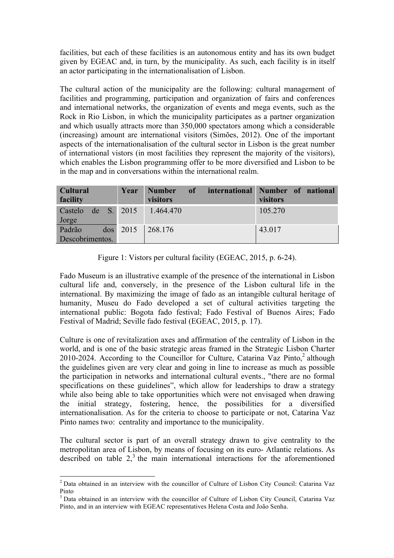facilities, but each of these facilities is an autonomous entity and has its own budget given by EGEAC and, in turn, by the municipality. As such, each facility is in itself an actor participating in the internationalisation of Lisbon.

The cultural action of the municipality are the following: cultural management of facilities and programming, participation and organization of fairs and conferences and international networks, the organization of events and mega events, such as the Rock in Rio Lisbon, in which the municipality participates as a partner organization and which usually attracts more than 350,000 spectators among which a considerable (increasing) amount are international visitors (Simões, 2012). One of the important aspects of the internationalisation of the cultural sector in Lisbon is the great number of international vistors (in most facilities they represent the majority of the visitors), which enables the Lisbon programming offer to be more diversified and Lisbon to be in the map and in conversations within the international realm.

| <b>Cultural</b><br>facility | Year        | Number<br>visitors | of international Number of national | visitors |  |
|-----------------------------|-------------|--------------------|-------------------------------------|----------|--|
| Castelo de S. 2015<br>Jorge |             | 1.464.470          |                                     | 105.270  |  |
| Padrão                      | $\cos$ 2015 | 268.176            |                                     | 43.017   |  |
| Descobrimentos.             |             |                    |                                     |          |  |

Figure 1: Vistors per cultural facility (EGEAC, 2015, p. 6-24).

Fado Museum is an illustrative example of the presence of the international in Lisbon cultural life and, conversely, in the presence of the Lisbon cultural life in the international. By maximizing the image of fado as an intangible cultural heritage of humanity, Museu do Fado developed a set of cultural activities targeting the international public: Bogota fado festival; Fado Festival of Buenos Aires; Fado Festival of Madrid; Seville fado festival (EGEAC, 2015, p. 17).

Culture is one of revitalization axes and affirmation of the centrality of Lisbon in the world, and is one of the basic strategic areas framed in the Strategic Lisbon Charter 2010-2024. According to the Councillor for Culture, Catarina Vaz Pinto, $2$  although the guidelines given are very clear and going in line to increase as much as possible the participation in networks and international cultural events., "there are no formal specifications on these guidelines", which allow for leaderships to draw a strategy while also being able to take opportunities which were not envisaged when drawing the initial strategy, fostering, hence, the possibilities for a diversified internationalisation. As for the criteria to choose to participate or not, Catarina Vaz Pinto names two: centrality and importance to the municipality.

The cultural sector is part of an overall strategy drawn to give centrality to the metropolitan area of Lisbon, by means of focusing on its euro- Atlantic relations. As described on table  $2<sup>3</sup>$ , the main international interactions for the aforementioned

<sup>&</sup>lt;sup>2</sup> Data obtained in an interview with the councillor of Culture of Lisbon City Council: Catarina Vaz Pinto

<sup>&</sup>lt;sup>3</sup> Data obtained in an interview with the councillor of Culture of Lisbon City Council, Catarina Vaz Pinto, and in an interview with EGEAC representatives Helena Costa and João Senha.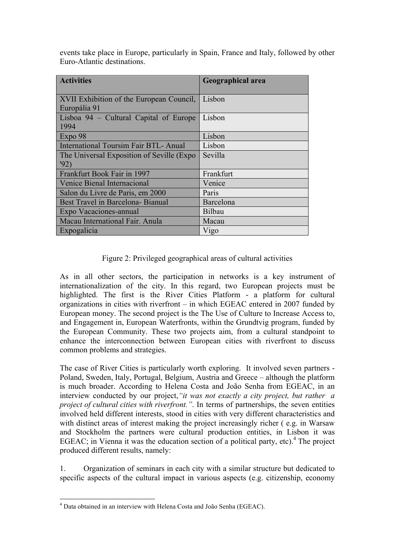events take place in Europe, particularly in Spain, France and Italy, followed by other Euro-Atlantic destinations.

| <b>Activities</b>                                        | <b>Geographical area</b> |
|----------------------------------------------------------|--------------------------|
| XVII Exhibition of the European Council,<br>Europália 91 | Lisbon                   |
| Lisboa 94 – Cultural Capital of Europe<br>1994           | Lisbon                   |
| Expo 98                                                  | Lisbon                   |
| <b>International Toursim Fair BTL-Anual</b>              | Lisbon                   |
| The Universal Exposition of Seville (Expo<br>'92)        | Sevilla                  |
| Frankfurt Book Fair in 1997                              | Frankfurt                |
| Venice Bienal Internacional                              | Venice                   |
| Salon du Livre de Paris, em 2000                         | Paris                    |
| Best Travel in Barcelona- Bianual                        | Barcelona                |
| Expo Vacaciones-annual                                   | Bilbau                   |
| Macau International Fair. Anula                          | Macau                    |
| Expogalicia                                              | Vigo                     |

# Figure 2: Privileged geographical areas of cultural activities

As in all other sectors, the participation in networks is a key instrument of internationalization of the city. In this regard, two European projects must be highlighted. The first is the River Cities Platform - a platform for cultural organizations in cities with riverfront – in which EGEAC entered in 2007 funded by European money. The second project is the The Use of Culture to Increase Access to, and Engagement in, European Waterfronts, within the Grundtvig program, funded by the European Community. These two projects aim, from a cultural standpoint to enhance the interconnection between European cities with riverfront to discuss common problems and strategies.

The case of River Cities is particularly worth exploring. It involved seven partners - Poland, Sweden, Italy, Portugal, Belgium, Austria and Greece – although the platform is much broader. According to Helena Costa and João Senha from EGEAC, in an interview conducted by our project,*"it was not exactly a city project, but rather a project of cultural cities with riverfront."*. In terms of partnerships, the seven entities involved held different interests, stood in cities with very different characteristics and with distinct areas of interest making the project increasingly richer ( e.g. in Warsaw and Stockholm the partners were cultural production entities, in Lisbon it was EGEAC; in Vienna it was the education section of a political party, etc).<sup>4</sup> The project produced different results, namely:

1. Organization of seminars in each city with a similar structure but dedicated to specific aspects of the cultural impact in various aspects (e.g. citizenship, economy

 <sup>4</sup> Data obtained in an interview with Helena Costa and João Senha (EGEAC).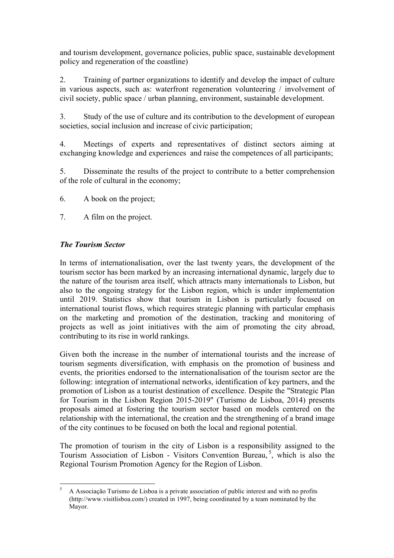and tourism development, governance policies, public space, sustainable development policy and regeneration of the coastline)

2. Training of partner organizations to identify and develop the impact of culture in various aspects, such as: waterfront regeneration volunteering / involvement of civil society, public space / urban planning, environment, sustainable development.

3. Study of the use of culture and its contribution to the development of european societies, social inclusion and increase of civic participation;

4. Meetings of experts and representatives of distinct sectors aiming at exchanging knowledge and experiences and raise the competences of all participants;

5. Disseminate the results of the project to contribute to a better comprehension of the role of cultural in the economy;

6. A book on the project;

7. A film on the project.

## *The Tourism Sector*

In terms of internationalisation, over the last twenty years, the development of the tourism sector has been marked by an increasing international dynamic, largely due to the nature of the tourism area itself, which attracts many internationals to Lisbon, but also to the ongoing strategy for the Lisbon region, which is under implementation until 2019. Statistics show that tourism in Lisbon is particularly focused on international tourist flows, which requires strategic planning with particular emphasis on the marketing and promotion of the destination, tracking and monitoring of projects as well as joint initiatives with the aim of promoting the city abroad, contributing to its rise in world rankings.

Given both the increase in the number of international tourists and the increase of tourism segments diversification, with emphasis on the promotion of business and events, the priorities endorsed to the internationalisation of the tourism sector are the following: integration of international networks, identification of key partners, and the promotion of Lisbon as a tourist destination of excellence. Despite the "Strategic Plan for Tourism in the Lisbon Region 2015-2019" (Turismo de Lisboa, 2014) presents proposals aimed at fostering the tourism sector based on models centered on the relationship with the international, the creation and the strengthening of a brand image of the city continues to be focused on both the local and regional potential.

The promotion of tourism in the city of Lisbon is a responsibility assigned to the Tourism Association of Lisbon - Visitors Convention Bureau,<sup>5</sup>, which is also the Regional Tourism Promotion Agency for the Region of Lisbon.

 <sup>5</sup> A Associação Turismo de Lisboa is a private association of public interest and with no profits (http://www.visitlisboa.com/) created in 1997, being coordinated by a team nominated by the Mayor.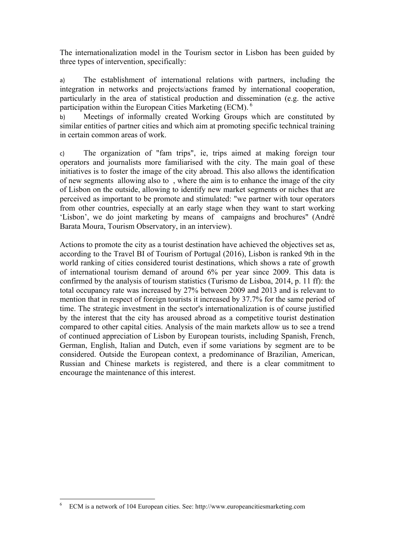The internationalization model in the Tourism sector in Lisbon has been guided by three types of intervention, specifically:

a) The establishment of international relations with partners, including the integration in networks and projects/actions framed by international cooperation, particularly in the area of statistical production and dissemination (e.g. the active participation within the European Cities Marketing (ECM). <sup>6</sup>

b) Meetings of informally created Working Groups which are constituted by similar entities of partner cities and which aim at promoting specific technical training in certain common areas of work.

c) The organization of "fam trips", ie, trips aimed at making foreign tour operators and journalists more familiarised with the city. The main goal of these initiatives is to foster the image of the city abroad. This also allows the identification of new segments allowing also to , where the aim is to enhance the image of the city of Lisbon on the outside, allowing to identify new market segments or niches that are perceived as important to be promote and stimulated: "we partner with tour operators from other countries, especially at an early stage when they want to start working 'Lisbon', we do joint marketing by means of campaigns and brochures" (André Barata Moura, Tourism Observatory, in an interview).

Actions to promote the city as a tourist destination have achieved the objectives set as, according to the Travel BI of Tourism of Portugal (2016), Lisbon is ranked 9th in the world ranking of cities considered tourist destinations, which shows a rate of growth of international tourism demand of around 6% per year since 2009. This data is confirmed by the analysis of tourism statistics (Turismo de Lisboa, 2014, p. 11 ff): the total occupancy rate was increased by 27% between 2009 and 2013 and is relevant to mention that in respect of foreign tourists it increased by 37.7% for the same period of time. The strategic investment in the sector's internationalization is of course justified by the interest that the city has aroused abroad as a competitive tourist destination compared to other capital cities. Analysis of the main markets allow us to see a trend of continued appreciation of Lisbon by European tourists, including Spanish, French, German, English, Italian and Dutch, even if some variations by segment are to be considered. Outside the European context, a predominance of Brazilian, American, Russian and Chinese markets is registered, and there is a clear commitment to encourage the maintenance of this interest.

 <sup>6</sup> ECM is a network of 104 European cities. See: http://www.europeancitiesmarketing.com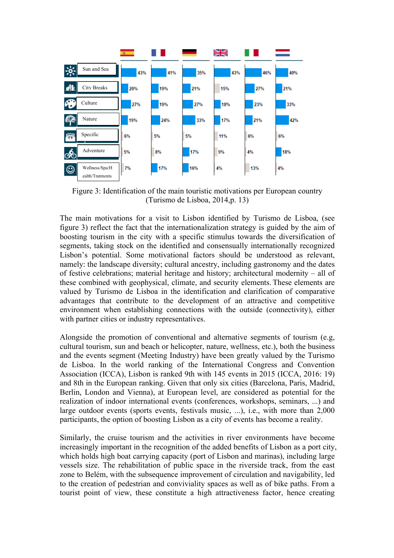

Figure 3: Identification of the main touristic motivations per European country (Turismo de Lisboa, 2014,p. 13)

The main motivations for a visit to Lisbon identified by Turismo de Lisboa, (see figure 3) reflect the fact that the internationalization strategy is guided by the aim of boosting tourism in the city with a specific stimulus towards the diversification of segments, taking stock on the identified and consensually internationally recognized Lisbon's potential. Some motivational factors should be understood as relevant, namely: the landscape diversity; cultural ancestry, including gastronomy and the dates of festive celebrations; material heritage and history; architectural modernity – all of these combined with geophysical, climate, and security elements. These elements are valued by Turismo de Lisboa in the identification and clarification of comparative advantages that contribute to the development of an attractive and competitive environment when establishing connections with the outside (connectivity), either with partner cities or industry representatives.

Alongside the promotion of conventional and alternative segments of tourism (e.g, cultural tourism, sun and beach or helicopter, nature, wellness, etc.), both the business and the events segment (Meeting Industry) have been greatly valued by the Turismo de Lisboa. In the world ranking of the International Congress and Convention Association (ICCA), Lisbon is ranked 9th with 145 events in 2015 (ICCA, 2016: 19) and 8th in the European ranking. Given that only six cities (Barcelona, Paris, Madrid, Berlin, London and Vienna), at European level, are considered as potential for the realization of indoor international events (conferences, workshops, seminars, ...) and large outdoor events (sports events, festivals music, ...), i.e., with more than 2,000 participants, the option of boosting Lisbon as a city of events has become a reality.

Similarly, the cruise tourism and the activities in river environments have become increasingly important in the recognition of the added benefits of Lisbon as a port city, which holds high boat carrying capacity (port of Lisbon and marinas), including large vessels size. The rehabilitation of public space in the riverside track, from the east zone to Belém, with the subsequence improvement of circulation and navigability, led to the creation of pedestrian and conviviality spaces as well as of bike paths. From a tourist point of view, these constitute a high attractiveness factor, hence creating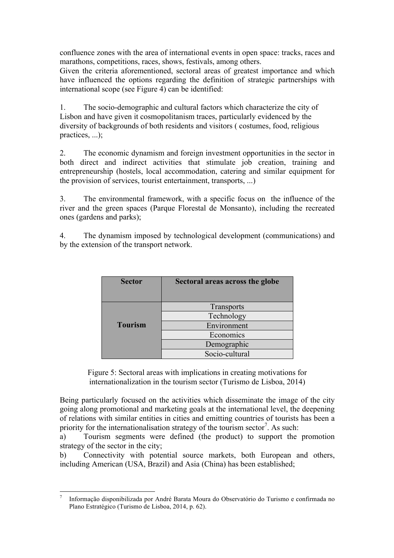confluence zones with the area of international events in open space: tracks, races and marathons, competitions, races, shows, festivals, among others.

Given the criteria aforementioned, sectoral areas of greatest importance and which have influenced the options regarding the definition of strategic partnerships with international scope (see Figure 4) can be identified:

1. The socio-demographic and cultural factors which characterize the city of Lisbon and have given it cosmopolitanism traces, particularly evidenced by the diversity of backgrounds of both residents and visitors ( costumes, food, religious practices, ...);

2. The economic dynamism and foreign investment opportunities in the sector in both direct and indirect activities that stimulate job creation, training and entrepreneurship (hostels, local accommodation, catering and similar equipment for the provision of services, tourist entertainment, transports, ...)

3. The environmental framework, with a specific focus on the influence of the river and the green spaces (Parque Florestal de Monsanto), including the recreated ones (gardens and parks);

4. The dynamism imposed by technological development (communications) and by the extension of the transport network.

| <b>Sector</b>  | <b>Sectoral areas across the globe</b> |
|----------------|----------------------------------------|
|                | Transports                             |
|                | Technology                             |
| <b>Tourism</b> | Environment                            |
|                | Economics                              |
|                | Demographic                            |
|                | Socio-cultural                         |

Figure 5: Sectoral areas with implications in creating motivations for internationalization in the tourism sector (Turismo de Lisboa, 2014)

Being particularly focused on the activities which disseminate the image of the city going along promotional and marketing goals at the international level, the deepening of relations with similar entities in cities and emitting countries of tourists has been a priority for the internationalisation strategy of the tourism sector<sup>7</sup>. As such:

a) Tourism segments were defined (the product) to support the promotion strategy of the sector in the city;

b) Connectivity with potential source markets, both European and others, including American (USA, Brazil) and Asia (China) has been established;

 <sup>7</sup> Informação disponibilizada por André Barata Moura do Observatório do Turismo e confirmada no Plano Estratégico (Turismo de Lisboa, 2014, p. 62).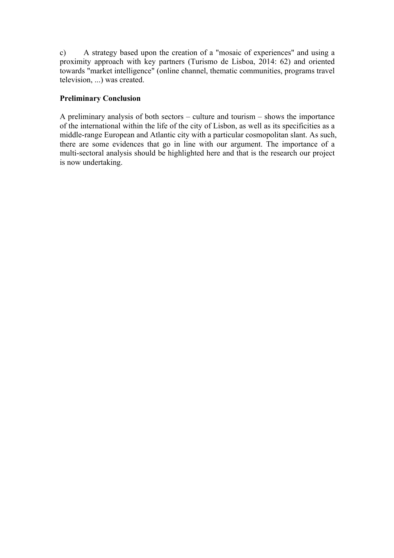c) A strategy based upon the creation of a "mosaic of experiences" and using a proximity approach with key partners (Turismo de Lisboa, 2014: 62) and oriented towards "market intelligence" (online channel, thematic communities, programs travel television, ...) was created.

## **Preliminary Conclusion**

A preliminary analysis of both sectors – culture and tourism – shows the importance of the international within the life of the city of Lisbon, as well as its specificities as a middle-range European and Atlantic city with a particular cosmopolitan slant. As such, there are some evidences that go in line with our argument. The importance of a multi-sectoral analysis should be highlighted here and that is the research our project is now undertaking.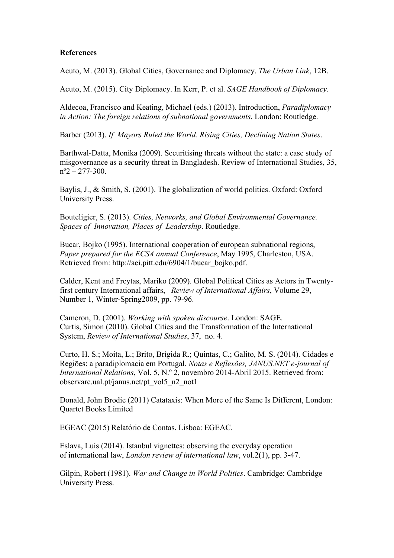### **References**

Acuto, M. (2013). Global Cities, Governance and Diplomacy. *The Urban Link*, 12B.

Acuto, M. (2015). City Diplomacy. In Kerr, P. et al. *SAGE Handbook of Diplomacy*.

Aldecoa, Francisco and Keating, Michael (eds.) (2013). Introduction, *Paradiplomacy in Action: The foreign relations of subnational governments*. London: Routledge.

Barber (2013). *If Mayors Ruled the World. Rising Cities, Declining Nation States*.

Barthwal-Datta, Monika (2009). Securitising threats without the state: a case study of misgovernance as a security threat in Bangladesh. Review of International Studies, 35,  $n^{\circ}2 - 277 - 300$ .

Baylis, J., & Smith, S. (2001). The globalization of world politics. Oxford: Oxford University Press.

Bouteligier, S. (2013). *Cities, Networks, and Global Environmental Governance. Spaces of Innovation, Places of Leadership*. Routledge.

Bucar, Bojko (1995). International cooperation of european subnational regions, *Paper prepared for the ECSA annual Conference*, May 1995, Charleston, USA. Retrieved from: http://aei.pitt.edu/6904/1/bucar\_bojko.pdf.

Calder, Kent and Freytas, Mariko (2009). Global Political Cities as Actors in Twentyfirst century International affairs, *Review of International Affairs*, Volume 29, Number 1, Winter-Spring2009, pp. 79-96.

Cameron, D. (2001). *Working with spoken discourse*. London: SAGE. Curtis, Simon (2010). Global Cities and the Transformation of the International System, *Review of International Studies*, 37, no. 4.

Curto, H. S.; Moita, L.; Brito, Brígida R.; Quintas, C.; Galito, M. S. (2014). Cidades e Regiões: a paradiplomacia em Portugal. *Notas e Reflexões, JANUS.NET e-journal of International Relations*, Vol. 5, N.º 2, novembro 2014-Abril 2015. Retrieved from: observare.ual.pt/janus.net/pt\_vol5\_n2\_not1

Donald, John Brodie (2011) Catataxis: When More of the Same Is Different, London: Quartet Books Limited

EGEAC (2015) Relatório de Contas. Lisboa: EGEAC.

Eslava, Luís (2014). Istanbul vignettes: observing the everyday operation of international law, *London review of international law*, vol.2(1), pp. 3-47.

Gilpin, Robert (1981). *War and Change in World Politics*. Cambridge: Cambridge University Press.